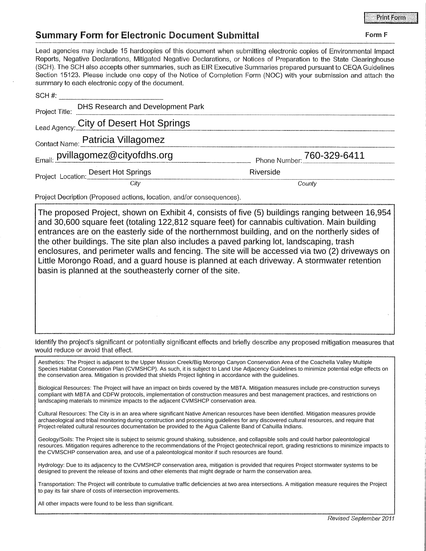Form F

## **Summary Form for Electronic Document Submittal**

Lead agencies may include 15 hardcopies of this document when submitting electronic copies of Environmental Impact Reports, Negative Declarations, Mitigated Negative Declarations, or Notices of Preparation to the State Clearinghouse (SCH). The SCH also accepts other summaries, such as EIR Executive Summaries prepared pursuant to CEQA Guidelines Section 15123. Please include one copy of the Notice of Completion Form (NOC) with your submission and attach the summary to each electronic copy of the document.

| SCH#                             |                                         |                            |
|----------------------------------|-----------------------------------------|----------------------------|
| Project Title:                   | DHS Research and Development Park       |                            |
|                                  | Lead Agency: City of Desert Hot Springs |                            |
|                                  | Contact Name: Patricia Villagomez       |                            |
| Email: pvillagomez@cityofdhs.org |                                         | Phone Number: 760-329-6411 |
|                                  | Project Location: Desert Hot Springs    | Riverside                  |
|                                  | City                                    | County                     |

Project Decription (Proposed actions, location, and/or consequences).

The proposed Project, shown on Exhibit 4, consists of five (5) buildings ranging between 16,954 and 30,600 square feet (totaling 122,812 square feet) for cannabis cultivation. Main building entrances are on the easterly side of the northernmost building, and on the northerly sides of the other buildings. The site plan also includes a paved parking lot, landscaping, trash enclosures, and perimeter walls and fencing. The site will be accessed via two (2) driveways on Little Morongo Road, and a guard house is planned at each driveway. A stormwater retention basin is planned at the southeasterly corner of the site.

Identify the project's significant or potentially significant effects and briefly describe any proposed mitigation measures that would reduce or avoid that effect.

Aesthetics: The Project is adjacent to the Upper Mission Creek/Big Morongo Canyon Conservation Area of the Coachella Valley Multiple Species Habitat Conservation Plan (CVMSHCP). As such, it is subject to Land Use Adjacency Guidelines to minimize potential edge effects on the conservation area. Mitigation is provided that shields Project lighting in accordance with the guidelines.

Biological Resources: The Project will have an impact on birds covered by the MBTA. Mitigation measures include pre-construction surveys compliant with MBTA and CDFW protocols, implementation of construction measures and best management practices, and restrictions on landscaping materials to minimize impacts to the adjacent CVMSHCP conservation area.

Cultural Resources: The City is in an area where significant Native American resources have been identified. Mitigation measures provide archaeological and tribal monitoring during construction and processing guidelines for any discovered cultural resources, and require that Project-related cultural resources documentation be provided to the Agua Caliente Band of Cahuilla Indians.

Geology/Soils: The Project site is subject to seismic ground shaking, subsidence, and collapsible soils and could harbor paleontological resources. Mitigation requires adherence to the recommendations of the Project geotechnical report, grading restrictions to minimize impacts to the CVMSCHP conservation area, and use of a paleontological monitor if such resources are found.

Hydrology: Due to its adjacency to the CVMSHCP conservation area, mitigation is provided that requires Project stormwater systems to be designed to prevent the release of toxins and other elements that might degrade or harm the conservation area.

Transportation: The Project will contribute to cumulative traffic deficiencies at two area intersections. A mitigation measure requires the Project to pay its fair share of costs of intersection improvements.

All other impacts were found to be less than significant.